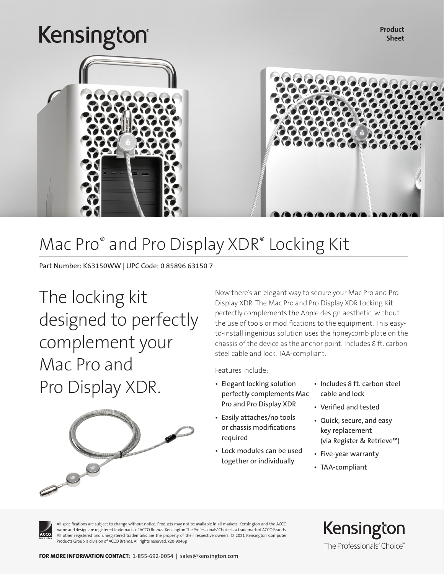## Kensington®

Product Sheet



### Mac Pro® and Pro Display XDR® Locking Kit

Part Number: K63150WW | UPC Code: 0 85896 63150 7

The locking kit designed to perfectly complement your Mac Pro and Pro Display XDR.



Now there's an elegant way to secure your Mac Pro and Pro Display XDR. The Mac Pro and Pro Display XDR Locking Kit perfectly complements the Apple design aesthetic, without the use of tools or modifications to the equipment. This easyto-install ingenious solution uses the honeycomb plate on the chassis of the device as the anchor point. Includes 8 ft. carbon steel cable and lock. TAA-compliant.

Features include:

- Elegant locking solution perfectly complements Mac Pro and Pro Display XDR
- Easily attaches/no tools or chassis modifications required
- Lock modules can be used together or individually
- Includes 8 ft. carbon steel cable and lock
- Verified and tested
- Quick, secure, and easy key replacement (via Register & Retrieve™)
- Five-year warranty
- TAA-compliant



All specifications are subject to change without notice. Products may not be available in all markets. Kensington and the ACCO name and design are registered trademarks of ACCO Brands. Kensington The Professionals' Choice is a trademark of ACCO Brands. All other registered and unregistered trademarks are the property of their respective owners. © 2021 Kensington Computer Products Group, a division of ACCO Brands. All rights reserved. k20-9046p

Kensington The Professionals' Choice"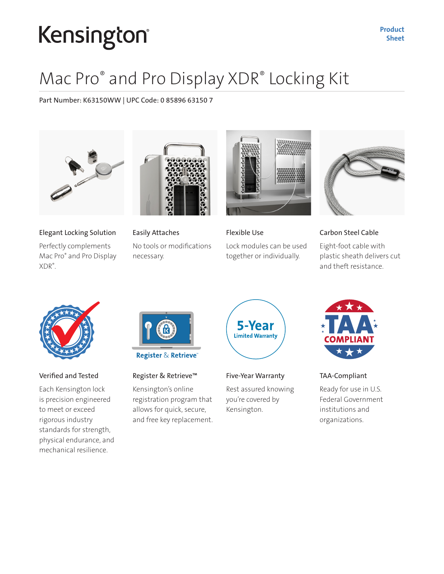# Kensington®

### Mac Pro® and Pro Display XDR® Locking Kit

Part Number: K63150WW | UPC Code: 0 85896 63150 7



Elegant Locking Solution

Perfectly complements Mac Pro® and Pro Display XDR® .



Easily Attaches No tools or modifications necessary.



Flexible Use Lock modules can be used together or individually.



Carbon Steel Cable

Eight-foot cable with plastic sheath delivers cut and theft resistance.



### Verified and Tested

Each Kensington lock is precision engineered to meet or exceed rigorous industry standards for strength, physical endurance, and mechanical resilience.



**Register & Retrieve** 

### Register & Retrieve™

Kensington's online registration program that allows for quick, secure, and free key replacement.



Five-Year Warranty

Rest assured knowing you're covered by Kensington.



TAA-Compliant

Ready for use in U.S. Federal Government institutions and organizations.